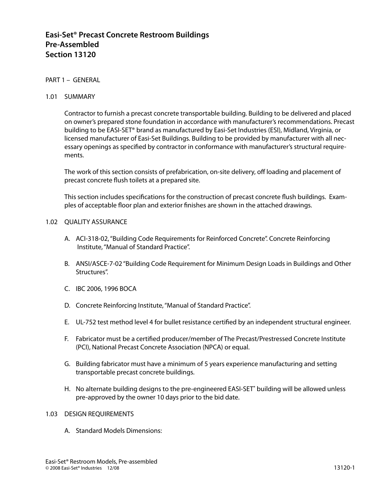# **Easi-Set® Precast Concrete Restroom Buildings Pre-Assembled Section 13120**

## PART 1 – GENERAL

#### 1.01 SUMMARY

Contractor to furnish a precast concrete transportable building. Building to be delivered and placed on owner's prepared stone foundation in accordance with manufacturer's recommendations. Precast building to be EASI-SET® brand as manufactured by Easi-Set Industries (ESI), Midland, Virginia, or licensed manufacturer of Easi-Set Buildings. Building to be provided by manufacturer with all necessary openings as specified by contractor in conformance with manufacturer's structural requirements.

The work of this section consists of prefabrication, on-site delivery, off loading and placement of precast concrete flush toilets at a prepared site.

This section includes specifications for the construction of precast concrete flush buildings. Examples of acceptable floor plan and exterior finishes are shown in the attached drawings.

#### 1.02 QUALITY ASSURANCE

- A. ACI-318-02, "Building Code Requirements for Reinforced Concrete". Concrete Reinforcing Institute, "Manual of Standard Practice".
- B. ANSI/ASCE-7-02 "Building Code Requirement for Minimum Design Loads in Buildings and Other Structures".
- C. IBC 2006, 1996 BOCA
- D. Concrete Reinforcing Institute, "Manual of Standard Practice".
- E. UL-752 test method level 4 for bullet resistance certified by an independent structural engineer.
- F. Fabricator must be a certified producer/member of The Precast/Prestressed Concrete Institute (PCI), National Precast Concrete Association (NPCA) or equal.
- G. Building fabricator must have a minimum of 5 years experience manufacturing and setting transportable precast concrete buildings.
- H. No alternate building designs to the pre-engineered EASI-SET**®** building will be allowed unless pre-approved by the owner 10 days prior to the bid date.

## 1.03 DESIGN REQUIREMENTS

A. Standard Models Dimensions: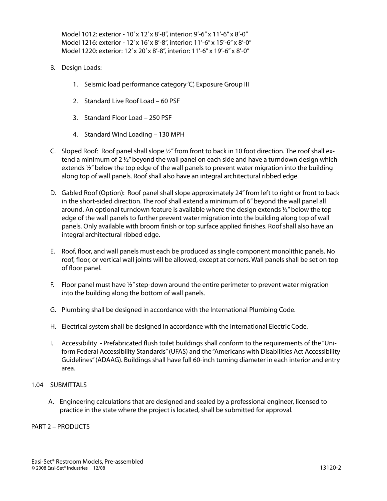Model 1012: exterior - 10' x 12' x 8'-8", interior: 9'-6" x 11'-6" x 8'-0" Model 1216: exterior - 12' x 16' x 8'-8", interior: 11'-6" x 15'-6" x 8'-0" Model 1220: exterior: 12' x 20' x 8'-8", interior: 11'-6" x 19'-6" x 8'-0"

- B. Design Loads:
	- 1. Seismic load performance category 'C', Exposure Group III
	- 2. Standard Live Roof Load 60 PSF
	- 3. Standard Floor Load 250 PSF
	- 4. Standard Wind Loading 130 MPH
- C. Sloped Roof: Roof panel shall slope ½" from front to back in 10 foot direction. The roof shall extend a minimum of 2  $\frac{1}{2}$  beyond the wall panel on each side and have a turndown design which extends ½" below the top edge of the wall panels to prevent water migration into the building along top of wall panels. Roof shall also have an integral architectural ribbed edge.
- D. Gabled Roof (Option): Roof panel shall slope approximately 24" from left to right or front to back in the short-sided direction. The roof shall extend a minimum of 6" beyond the wall panel all around. An optional turndown feature is available where the design extends  $\frac{1}{2}$ " below the top edge of the wall panels to further prevent water migration into the building along top of wall panels. Only available with broom finish or top surface applied finishes. Roof shall also have an integral architectural ribbed edge.
- E. Roof, floor, and wall panels must each be produced as single component monolithic panels. No roof, floor, or vertical wall joints will be allowed, except at corners. Wall panels shall be set on top of floor panel.
- F. Floor panel must have  $\frac{1}{2}$ " step-down around the entire perimeter to prevent water migration into the building along the bottom of wall panels.
- G. Plumbing shall be designed in accordance with the International Plumbing Code.
- H. Electrical system shall be designed in accordance with the International Electric Code.
- I. Accessibility Prefabricated flush toilet buildings shall conform to the requirements of the "Uniform Federal Accessibility Standards" (UFAS) and the "Americans with Disabilities Act Accessibility Guidelines" (ADAAG). Buildings shall have full 60-inch turning diameter in each interior and entry area.

## 1.04 SUBMITTALS

A. Engineering calculations that are designed and sealed by a professional engineer, licensed to practice in the state where the project is located, shall be submitted for approval.

PART 2 – PRODUCTS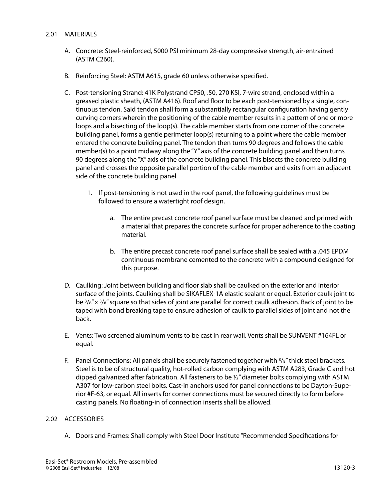## 2.01 MATERIALS

- A. Concrete: Steel-reinforced, 5000 PSI minimum 28-day compressive strength, air-entrained (ASTM C260).
- B. Reinforcing Steel: ASTM A615, grade 60 unless otherwise specified.
- C. Post-tensioning Strand: 41K Polystrand CP50, .50, 270 KSI, 7-wire strand, enclosed within a greased plastic sheath, (ASTM A416). Roof and floor to be each post-tensioned by a single, continuous tendon. Said tendon shall form a substantially rectangular configuration having gently curving corners wherein the positioning of the cable member results in a pattern of one or more loops and a bisecting of the loop(s). The cable member starts from one corner of the concrete building panel, forms a gentle perimeter loop(s) returning to a point where the cable member entered the concrete building panel. The tendon then turns 90 degrees and follows the cable member(s) to a point midway along the "Y" axis of the concrete building panel and then turns 90 degrees along the "X" axis of the concrete building panel. This bisects the concrete building panel and crosses the opposite parallel portion of the cable member and exits from an adjacent side of the concrete building panel.
	- 1. If post-tensioning is not used in the roof panel, the following guidelines must be followed to ensure a watertight roof design.
		- a. The entire precast concrete roof panel surface must be cleaned and primed with a material that prepares the concrete surface for proper adherence to the coating material.
		- b. The entire precast concrete roof panel surface shall be sealed with a .045 EPDM continuous membrane cemented to the concrete with a compound designed for this purpose.
- D. Caulking: Joint between building and floor slab shall be caulked on the exterior and interior surface of the joints. Caulking shall be SIKAFLEX-1A elastic sealant or equal. Exterior caulk joint to be  $3/8$ " x  $3/8$ " square so that sides of joint are parallel for correct caulk adhesion. Back of joint to be taped with bond breaking tape to ensure adhesion of caulk to parallel sides of joint and not the back.
- E. Vents: Two screened aluminum vents to be cast in rear wall. Vents shall be SUNVENT #164FL or equal.
- F. Panel Connections: All panels shall be securely fastened together with  $\frac{3}{8}$ " thick steel brackets. Steel is to be of structural quality, hot-rolled carbon complying with ASTM A283, Grade C and hot dipped galvanized after fabrication. All fasteners to be  $\frac{1}{2}$  diameter bolts complying with ASTM A307 for low-carbon steel bolts. Cast-in anchors used for panel connections to be Dayton-Superior #F-63, or equal. All inserts for corner connections must be secured directly to form before casting panels. No floating-in of connection inserts shall be allowed.

## 2.02 ACCESSORIES

A. Doors and Frames: Shall comply with Steel Door Institute "Recommended Specifications for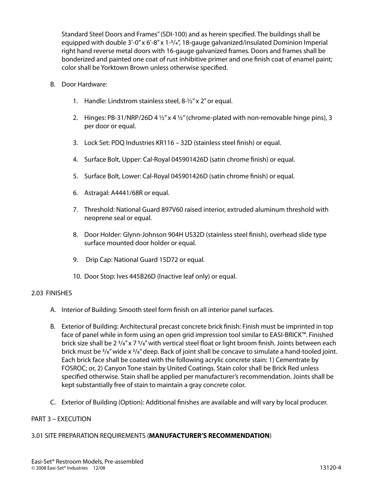Standard Steel Doors and Frames" (SDI-100) and as herein specified. The buildings shall be equipped with double  $3'-0''$  x  $6'-8''$  x  $1<sup>-3</sup>/<sub>4</sub>''$ , 18-gauge galvanized/insulated Dominion Imperial right hand reverse metal doors with 16-gauge galvanized frames. Doors and frames shall be bonderized and painted one coat of rust inhibitive primer and one finish coat of enamel paint; color shall be Yorktown Brown unless otherwise specified.

- B. Door Hardware:
	- 1. Handle: Lindstrom stainless steel, 8-½" x 2" or equal.
	- 2. Hinges: PB-31/NRP/26D 4  $\frac{1}{2}$ " x 4  $\frac{1}{2}$ " (chrome-plated with non-removable hinge pins), 3 per door or equal.
	- 3. Lock Set: PDQ Industries KR116 32D (stainless steel finish) or equal.
	- 4. Surface Bolt, Upper: Cal-Royal 045901426D (satin chrome finish) or equal.
	- 5. Surface Bolt, Lower: Cal-Royal 045901426D (satin chrome finish) or equal.
	- 6. Astragal: A4441/68R or equal.
	- 7. Threshold: National Guard 897V60 raised interior, extruded aluminum threshold with neoprene seal or equal.
	- 8. Door Holder: Glynn-Johnson 904H US32D (stainless steel finish), overhead slide type surface mounted door holder or equal.
	- 9. Drip Cap: National Guard 15D72 or equal.
	- 10. Door Stop: Ives 445B26D (Inactive leaf only) or equal.

## 2.03 FINISHES

- A. Interior of Building: Smooth steel form finish on all interior panel surfaces.
- B. Exterior of Building: Architectural precast concrete brick finish: Finish must be imprinted in top face of panel while in form using an open grid impression tool similar to EASI-BRICK™. Finished brick size shall be  $2\frac{3}{8}$ " x 7  $\frac{5}{8}$ " with vertical steel float or light broom finish. Joints between each brick must be  $\frac{3}{8}$ " wide x  $\frac{3}{8}$ " deep. Back of joint shall be concave to simulate a hand-tooled joint. Each brick face shall be coated with the following acrylic concrete stain: 1) Cementrate by FOSROC; or, 2) Canyon Tone stain by United Coatings. Stain color shall be Brick Red unless specified otherwise. Stain shall be applied per manufacturer's recommendation. Joints shall be kept substantially free of stain to maintain a gray concrete color.
- C. Exterior of Building (Option): Additional finishes are available and will vary by local producer.

## PART 3 – EXECUTION

## 3.01 SITE PREPARATION REQUIREMENTS (**MANUFACTURER'S RECOMMENDATION**)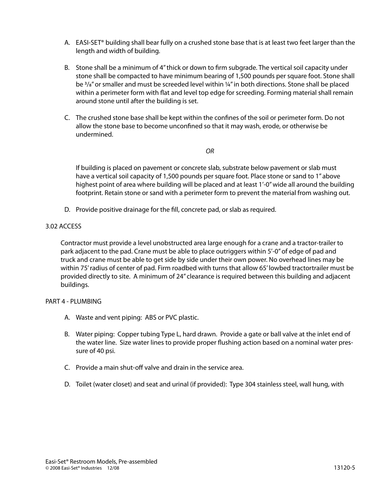- A. EASI-SET® building shall bear fully on a crushed stone base that is at least two feet larger than the length and width of building.
- B. Stone shall be a minimum of 4" thick or down to firm subgrade. The vertical soil capacity under stone shall be compacted to have minimum bearing of 1,500 pounds per square foot. Stone shall be  $\frac{3}{8}$ " or smaller and must be screeded level within  $\frac{1}{4}$ " in both directions. Stone shall be placed within a perimeter form with flat and level top edge for screeding. Forming material shall remain around stone until after the building is set.
- C. The crushed stone base shall be kept within the confines of the soil or perimeter form. Do not allow the stone base to become unconfined so that it may wash, erode, or otherwise be undermined.

*OR*

If building is placed on pavement or concrete slab, substrate below pavement or slab must have a vertical soil capacity of 1,500 pounds per square foot. Place stone or sand to 1" above highest point of area where building will be placed and at least 1'-0" wide all around the building footprint. Retain stone or sand with a perimeter form to prevent the material from washing out.

D. Provide positive drainage for the fill, concrete pad, or slab as required.

## 3.02 ACCESS

Contractor must provide a level unobstructed area large enough for a crane and a tractor-trailer to park adjacent to the pad. Crane must be able to place outriggers within 5'-0" of edge of pad and truck and crane must be able to get side by side under their own power. No overhead lines may be within 75' radius of center of pad. Firm roadbed with turns that allow 65' lowbed tractortrailer must be provided directly to site. A minimum of 24" clearance is required between this building and adjacent buildings.

## PART 4 - PLUMBING

- A. Waste and vent piping: ABS or PVC plastic.
- B. Water piping: Copper tubing Type L, hard drawn. Provide a gate or ball valve at the inlet end of the water line. Size water lines to provide proper flushing action based on a nominal water pressure of 40 psi.
- C. Provide a main shut-off valve and drain in the service area.
- D. Toilet (water closet) and seat and urinal (if provided): Type 304 stainless steel, wall hung, with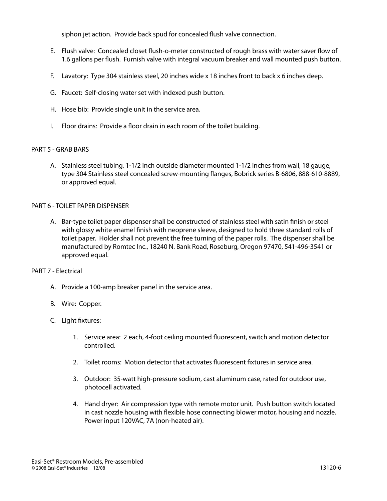siphon jet action. Provide back spud for concealed flush valve connection.

- E. Flush valve: Concealed closet flush-o-meter constructed of rough brass with water saver flow of 1.6 gallons per flush. Furnish valve with integral vacuum breaker and wall mounted push button.
- F. Lavatory: Type 304 stainless steel, 20 inches wide x 18 inches front to back x 6 inches deep.
- G. Faucet: Self-closing water set with indexed push button.
- H. Hose bib: Provide single unit in the service area.
- I. Floor drains: Provide a floor drain in each room of the toilet building.

## PART 5 - GRAB BARS

A. Stainless steel tubing, 1-1/2 inch outside diameter mounted 1-1/2 inches from wall, 18 gauge, type 304 Stainless steel concealed screw-mounting flanges, Bobrick series B-6806, 888-610-8889, or approved equal.

## PART 6 - TOILET PAPER DISPENSER

A. Bar-type toilet paper dispenser shall be constructed of stainless steel with satin finish or steel with glossy white enamel finish with neoprene sleeve, designed to hold three standard rolls of toilet paper. Holder shall not prevent the free turning of the paper rolls. The dispenser shall be manufactured by Romtec Inc., 18240 N. Bank Road, Roseburg, Oregon 97470, 541-496-3541 or approved equal.

## PART 7 - Electrical

- A. Provide a 100-amp breaker panel in the service area.
- B. Wire: Copper.
- C. Light fixtures:
	- 1. Service area: 2 each, 4-foot ceiling mounted fluorescent, switch and motion detector controlled.
	- 2. Toilet rooms: Motion detector that activates fluorescent fixtures in service area.
	- 3. Outdoor: 35-watt high-pressure sodium, cast aluminum case, rated for outdoor use, photocell activated.
	- 4. Hand dryer: Air compression type with remote motor unit. Push button switch located in cast nozzle housing with flexible hose connecting blower motor, housing and nozzle. Power input 120VAC, 7A (non-heated air).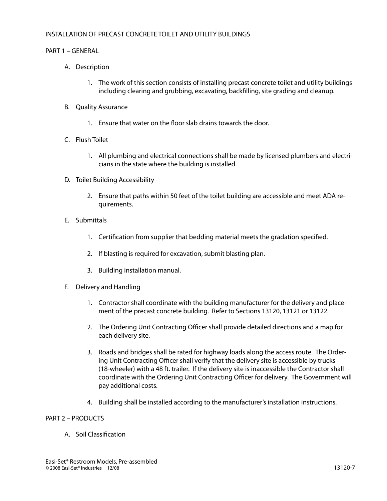#### INSTALLATION OF PRECAST CONCRETE TOILET AND UTILITY BUILDINGS

#### PART 1 – GENERAL

- A. Description
	- 1. The work of this section consists of installing precast concrete toilet and utility buildings including clearing and grubbing, excavating, backfilling, site grading and cleanup.
- B. Quality Assurance
	- 1. Ensure that water on the floor slab drains towards the door.
- C. Flush Toilet
	- 1. All plumbing and electrical connections shall be made by licensed plumbers and electricians in the state where the building is installed.
- D. Toilet Building Accessibility
	- 2. Ensure that paths within 50 feet of the toilet building are accessible and meet ADA requirements.
- E. Submittals
	- 1. Certification from supplier that bedding material meets the gradation specified.
	- 2. If blasting is required for excavation, submit blasting plan.
	- 3. Building installation manual.
- F. Delivery and Handling
	- 1. Contractor shall coordinate with the building manufacturer for the delivery and placement of the precast concrete building. Refer to Sections 13120, 13121 or 13122.
	- 2. The Ordering Unit Contracting Officer shall provide detailed directions and a map for each delivery site.
	- 3. Roads and bridges shall be rated for highway loads along the access route. The Ordering Unit Contracting Officer shall verify that the delivery site is accessible by trucks (18-wheeler) with a 48 ft. trailer. If the delivery site is inaccessible the Contractor shall coordinate with the Ordering Unit Contracting Officer for delivery. The Government will pay additional costs.
	- 4. Building shall be installed according to the manufacturer's installation instructions.

#### PART 2 – PRODUCTS

A. Soil Classification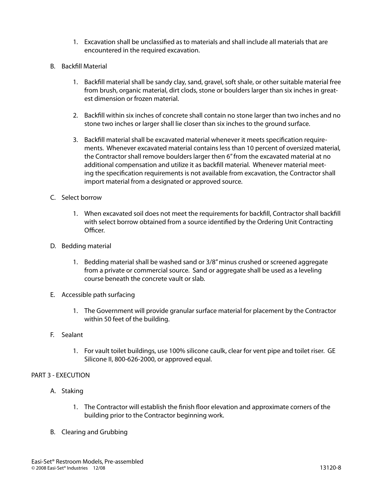- 1. Excavation shall be unclassified as to materials and shall include all materials that are encountered in the required excavation.
- B. Backfill Material
	- 1. Backfill material shall be sandy clay, sand, gravel, soft shale, or other suitable material free from brush, organic material, dirt clods, stone or boulders larger than six inches in greatest dimension or frozen material.
	- 2. Backfill within six inches of concrete shall contain no stone larger than two inches and no stone two inches or larger shall lie closer than six inches to the ground surface.
	- 3. Backfill material shall be excavated material whenever it meets specification requirements. Whenever excavated material contains less than 10 percent of oversized material, the Contractor shall remove boulders larger then 6" from the excavated material at no additional compensation and utilize it as backfill material. Whenever material meeting the specification requirements is not available from excavation, the Contractor shall import material from a designated or approved source.
- C. Select borrow
	- 1. When excavated soil does not meet the requirements for backfill, Contractor shall backfill with select borrow obtained from a source identified by the Ordering Unit Contracting Officer.
- D. Bedding material
	- 1. Bedding material shall be washed sand or 3/8" minus crushed or screened aggregate from a private or commercial source. Sand or aggregate shall be used as a leveling course beneath the concrete vault or slab.
- E. Accessible path surfacing
	- 1. The Government will provide granular surface material for placement by the Contractor within 50 feet of the building.
- F. Sealant
	- 1. For vault toilet buildings, use 100% silicone caulk, clear for vent pipe and toilet riser. GE Silicone II, 800-626-2000, or approved equal.

## PART 3 - EXECUTION

- A. Staking
	- 1. The Contractor will establish the finish floor elevation and approximate corners of the building prior to the Contractor beginning work.
- B. Clearing and Grubbing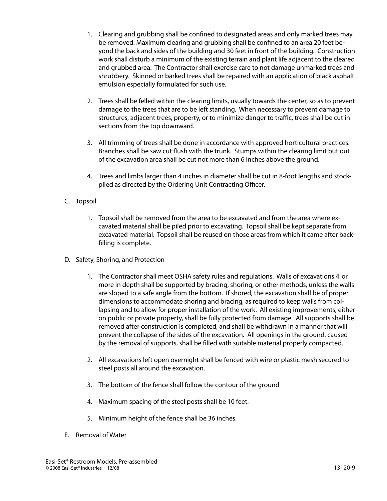- 1. Clearing and grubbing shall be confined to designated areas and only marked trees may be removed. Maximum clearing and grubbing shall be confined to an area 20 feet beyond the back and sides of the building and 30 feet in front of the building. Construction work shall disturb a minimum of the existing terrain and plant life adjacent to the cleared and grubbed area. The Contractor shall exercise care to not damage unmarked trees and shrubbery. Skinned or barked trees shall be repaired with an application of black asphalt emulsion especially formulated for such use.
- 2. Trees shall be felled within the clearing limits, usually towards the center, so as to prevent damage to the trees that are to be left standing. When necessary to prevent damage to structures, adjacent trees, property, or to minimize danger to traffic, trees shall be cut in sections from the top downward.
- 3. All trimming of trees shall be done in accordance with approved horticultural practices. Branches shall be saw cut flush with the trunk. Stumps within the clearing limit but out of the excavation area shall be cut not more than 6 inches above the ground.
- 4. Trees and limbs larger than 4 inches in diameter shall be cut in 8-foot lengths and stockpiled as directed by the Ordering Unit Contracting Officer.
- C. Topsoil
	- 1. Topsoil shall be removed from the area to be excavated and from the area where excavated material shall be piled prior to excavating. Topsoil shall be kept separate from excavated material. Topsoil shall be reused on those areas from which it came after backfilling is complete.
- D. Safety, Shoring, and Protection
	- 1. The Contractor shall meet OSHA safety rules and regulations. Walls of excavations 4' or more in depth shall be supported by bracing, shoring, or other methods, unless the walls are sloped to a safe angle from the bottom. If shored, the excavation shall be of proper dimensions to accommodate shoring and bracing, as required to keep walls from collapsing and to allow for proper installation of the work. All existing improvements, either on public or private property, shall be fully protected from damage. All supports shall be removed after construction is completed, and shall be withdrawn in a manner that will prevent the collapse of the sides of the excavation. All openings in the ground, caused by the removal of supports, shall be filled with suitable material properly compacted.
	- 2. All excavations left open overnight shall be fenced with wire or plastic mesh secured to steel posts all around the excavation.
	- 3. The bottom of the fence shall follow the contour of the ground
	- 4. Maximum spacing of the steel posts shall be 10 feet.
	- 5. Minimum height of the fence shall be 36 inches.
- E. Removal of Water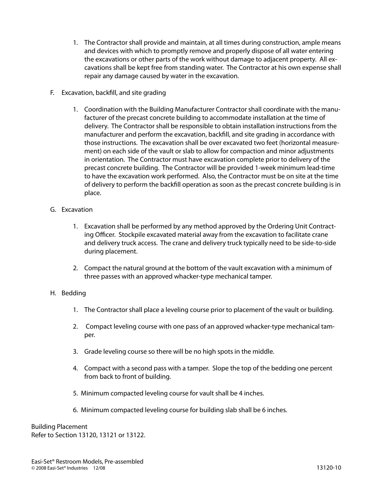- 1. The Contractor shall provide and maintain, at all times during construction, ample means and devices with which to promptly remove and properly dispose of all water entering the excavations or other parts of the work without damage to adjacent property. All excavations shall be kept free from standing water. The Contractor at his own expense shall repair any damage caused by water in the excavation.
- F. Excavation, backfill, and site grading
	- 1. Coordination with the Building Manufacturer Contractor shall coordinate with the manufacturer of the precast concrete building to accommodate installation at the time of delivery. The Contractor shall be responsible to obtain installation instructions from the manufacturer and perform the excavation, backfill, and site grading in accordance with those instructions. The excavation shall be over excavated two feet (horizontal measurement) on each side of the vault or slab to allow for compaction and minor adjustments in orientation. The Contractor must have excavation complete prior to delivery of the precast concrete building. The Contractor will be provided 1-week minimum lead-time to have the excavation work performed. Also, the Contractor must be on site at the time of delivery to perform the backfill operation as soon as the precast concrete building is in place.
- G. Excavation
	- 1. Excavation shall be performed by any method approved by the Ordering Unit Contracting Officer. Stockpile excavated material away from the excavation to facilitate crane and delivery truck access. The crane and delivery truck typically need to be side-to-side during placement.
	- 2. Compact the natural ground at the bottom of the vault excavation with a minimum of three passes with an approved whacker-type mechanical tamper.

## H. Bedding

- 1. The Contractor shall place a leveling course prior to placement of the vault or building.
- 2. Compact leveling course with one pass of an approved whacker-type mechanical tamper.
- 3. Grade leveling course so there will be no high spots in the middle.
- 4. Compact with a second pass with a tamper. Slope the top of the bedding one percent from back to front of building.
- 5. Minimum compacted leveling course for vault shall be 4 inches.
- 6. Minimum compacted leveling course for building slab shall be 6 inches.

Building Placement Refer to Section 13120, 13121 or 13122.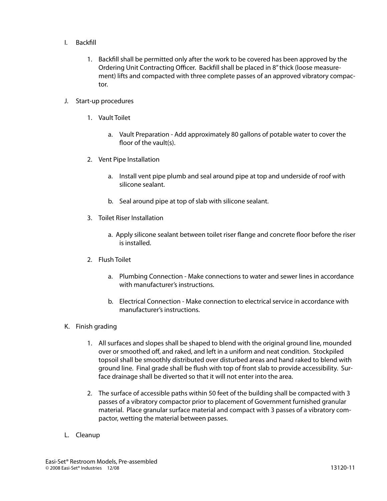- I. Backfill
	- 1. Backfill shall be permitted only after the work to be covered has been approved by the Ordering Unit Contracting Officer. Backfill shall be placed in 8" thick (loose measurement) lifts and compacted with three complete passes of an approved vibratory compactor.
- J. Start-up procedures
	- 1. Vault Toilet
		- a. Vault Preparation Add approximately 80 gallons of potable water to cover the floor of the vault(s).
	- 2. Vent Pipe Installation
		- a. Install vent pipe plumb and seal around pipe at top and underside of roof with silicone sealant.
		- b. Seal around pipe at top of slab with silicone sealant.
	- 3. Toilet Riser Installation
		- a. Apply silicone sealant between toilet riser flange and concrete floor before the riser is installed.
	- 2. Flush Toilet
		- a. Plumbing Connection Make connections to water and sewer lines in accordance with manufacturer's instructions.
		- b. Electrical Connection Make connection to electrical service in accordance with manufacturer's instructions.
- K. Finish grading
	- 1. All surfaces and slopes shall be shaped to blend with the original ground line, mounded over or smoothed off, and raked, and left in a uniform and neat condition. Stockpiled topsoil shall be smoothly distributed over disturbed areas and hand raked to blend with ground line. Final grade shall be flush with top of front slab to provide accessibility. Surface drainage shall be diverted so that it will not enter into the area.
	- 2. The surface of accessible paths within 50 feet of the building shall be compacted with 3 passes of a vibratory compactor prior to placement of Government furnished granular material. Place granular surface material and compact with 3 passes of a vibratory compactor, wetting the material between passes.
- L. Cleanup